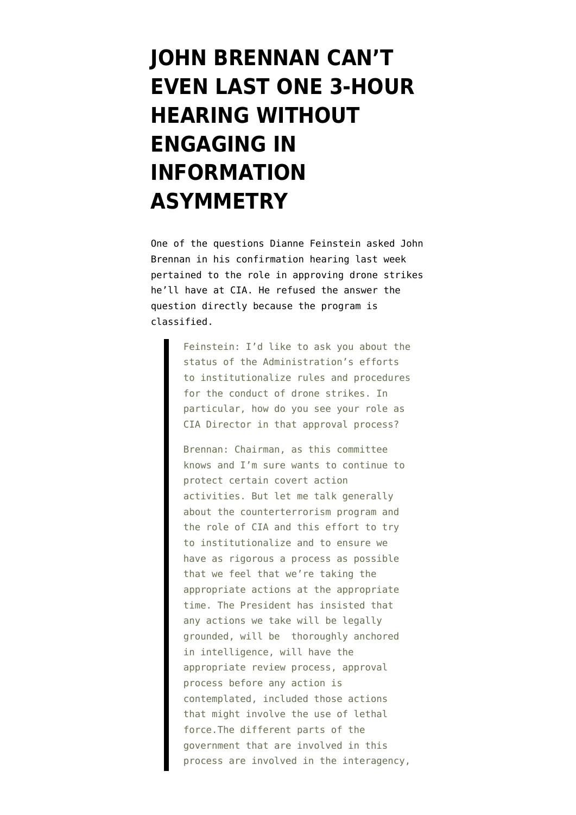## **[JOHN BRENNAN CAN'T](https://www.emptywheel.net/2013/02/11/john-brennan-cant-even-last-one-3-hour-hearing-without-engaging-in-information-asymmetry/) [EVEN LAST ONE 3-HOUR](https://www.emptywheel.net/2013/02/11/john-brennan-cant-even-last-one-3-hour-hearing-without-engaging-in-information-asymmetry/) [HEARING WITHOUT](https://www.emptywheel.net/2013/02/11/john-brennan-cant-even-last-one-3-hour-hearing-without-engaging-in-information-asymmetry/) [ENGAGING IN](https://www.emptywheel.net/2013/02/11/john-brennan-cant-even-last-one-3-hour-hearing-without-engaging-in-information-asymmetry/) [INFORMATION](https://www.emptywheel.net/2013/02/11/john-brennan-cant-even-last-one-3-hour-hearing-without-engaging-in-information-asymmetry/) [ASYMMETRY](https://www.emptywheel.net/2013/02/11/john-brennan-cant-even-last-one-3-hour-hearing-without-engaging-in-information-asymmetry/)**

One of the questions Dianne Feinstein asked John Brennan in his confirmation hearing last week pertained to the role in approving drone strikes he'll have at CIA. He refused the answer the question directly because the program is classified.

> Feinstein: I'd like to ask you about the status of the Administration's efforts to institutionalize rules and procedures for the conduct of drone strikes. In particular, how do you see your role as CIA Director in that approval process?

> Brennan: Chairman, as this committee knows and I'm sure wants to continue to protect certain covert action activities. But let me talk generally about the counterterrorism program and the role of CIA and this effort to try to institutionalize and to ensure we have as rigorous a process as possible that we feel that we're taking the appropriate actions at the appropriate time. The President has insisted that any actions we take will be legally grounded, will be thoroughly anchored in intelligence, will have the appropriate review process, approval process before any action is contemplated, included those actions that might involve the use of lethal force.The different parts of the government that are involved in this process are involved in the interagency,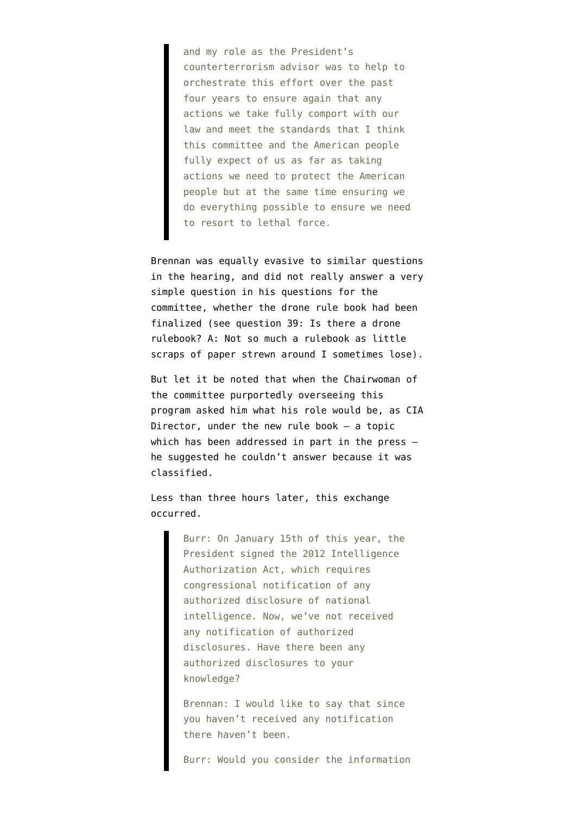and my role as the President's counterterrorism advisor was to help to orchestrate this effort over the past four years to ensure again that any actions we take fully comport with our law and meet the standards that I think this committee and the American people fully expect of us as far as taking actions we need to protect the American people but at the same time ensuring we do everything possible to ensure we need to resort to lethal force.

Brennan was equally evasive to similar questions in the hearing, and did not really answer a very simple question in his [questions for the](http://intelligence.senate.gov/130207/prehearing.pdf) [committee,](http://intelligence.senate.gov/130207/prehearing.pdf) whether the drone rule book had been finalized [\(see question 39:](http://www.emptywheel.net/2013/02/06/john-brennan-unplugged/) Is there a drone rulebook? A: Not so much a rulebook as little scraps of paper strewn around I sometimes lose).

But let it be noted that when the Chairwoman of the committee purportedly overseeing this program asked him what his role would be, as CIA Director, under the new rule book — a topic which has been addressed in part in the press  $$ he suggested he couldn't answer because it was classified.

Less than three hours later, this exchange occurred.

> Burr: On January 15th of this year, the President signed the 2012 Intelligence Authorization Act, which requires congressional notification of any authorized disclosure of national intelligence. Now, we've not received any notification of authorized disclosures. Have there been any authorized disclosures to your knowledge?

Brennan: I would like to say that since you haven't received any notification there haven't been.

Burr: Would you consider the information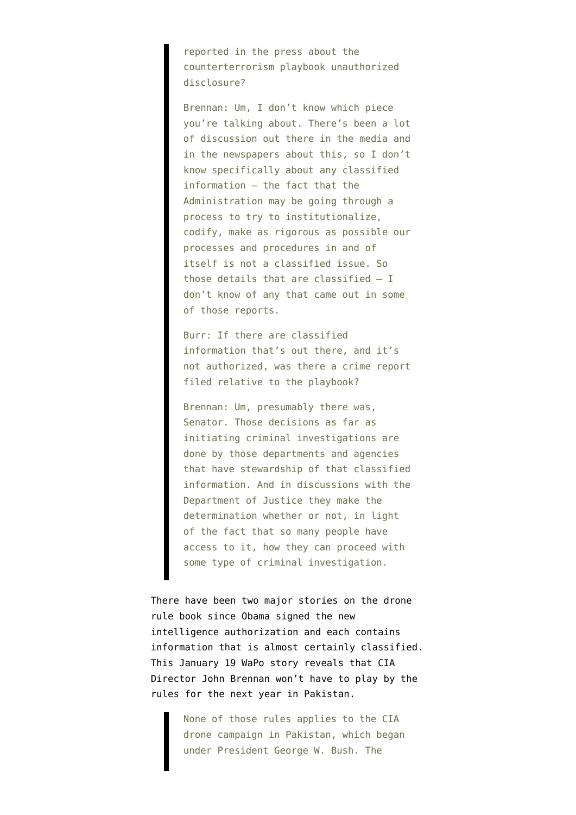reported in the press about the counterterrorism playbook unauthorized disclosure?

Brennan: Um, I don't know which piece you're talking about. There's been a lot of discussion out there in the media and in the newspapers about this, so I don't know specifically about any classified information — the fact that the Administration may be going through a process to try to institutionalize, codify, make as rigorous as possible our processes and procedures in and of itself is not a classified issue. So those details that are classified — I don't know of any that came out in some of those reports.

Burr: If there are classified information that's out there, and it's not authorized, was there a crime report filed relative to the playbook?

Brennan: Um, presumably there was, Senator. Those decisions as far as initiating criminal investigations are done by those departments and agencies that have stewardship of that classified information. And in discussions with the Department of Justice they make the determination whether or not, in light of the fact that so many people have access to it, how they can proceed with some type of criminal investigation.

There have been two major stories on the drone rule book since Obama signed the new intelligence authorization and each contains information that is almost certainly classified. This [January 19 WaPo story](http://www.washingtonpost.com/world/national-security/cia-drone-strikes-will-get-pass-in-counterterrorism-playbook-officials-say/2013/01/19/ca169a20-618d-11e2-9940-6fc488f3fecd_print.html) reveals that CIA Director John Brennan won't have to play by the rules for the next year in Pakistan.

> None of those rules applies to the CIA drone campaign in Pakistan, which began under President George W. Bush. The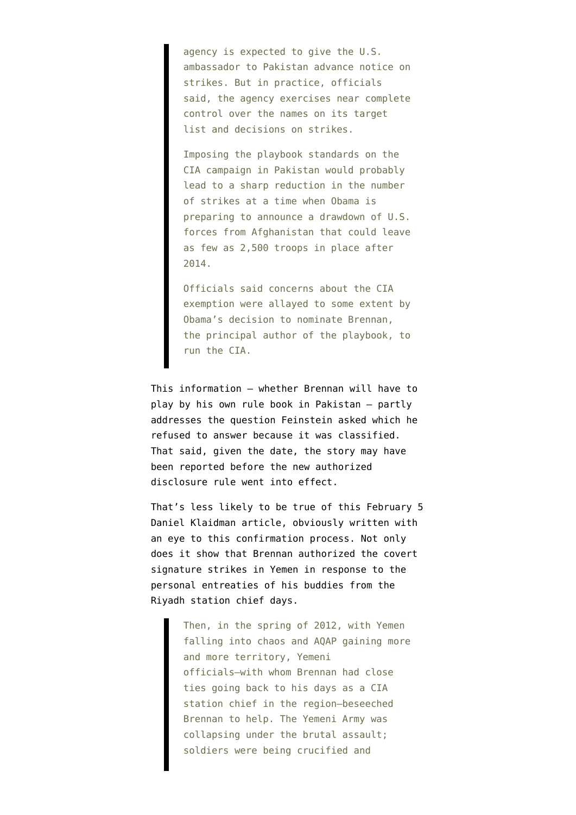agency is expected to give the U.S. ambassador to Pakistan advance notice on strikes. But in practice, officials said, the agency exercises near complete control over the names on its target list and decisions on strikes.

Imposing the playbook standards on the CIA campaign in Pakistan would probably lead to a sharp reduction in the number of strikes at a time when Obama is preparing to announce a drawdown of U.S. forces from Afghanistan that could leave as few as 2,500 troops in place after 2014.

Officials said concerns about the CIA exemption were allayed to some extent by Obama's decision to nominate Brennan, the principal author of the playbook, to run the CIA.

This information — whether Brennan will have to play by his own rule book in Pakistan — partly addresses the question Feinstein asked which he refused to answer because it was classified. That said, given the date, the story may have been reported before the new authorized disclosure rule went into effect.

That's less likely to be true of this [February 5](http://www.thedailybeast.com/newsweek/2013/02/04/john-brennan-obama-s-cia-chief-nominee-could-restrain-the-agency.html) [Daniel Klaidman article,](http://www.thedailybeast.com/newsweek/2013/02/04/john-brennan-obama-s-cia-chief-nominee-could-restrain-the-agency.html) obviously written with an eye to this confirmation process. Not only does it show that Brennan authorized the covert signature strikes in Yemen in response to the personal entreaties of his buddies from the Riyadh station chief days.

> Then, in the spring of 2012, with Yemen falling into chaos and AQAP gaining more and more territory, Yemeni officials—with whom Brennan had close ties going back to his days as a CIA station chief in the region—beseeched Brennan to help. The Yemeni Army was collapsing under the brutal assault; soldiers were being crucified and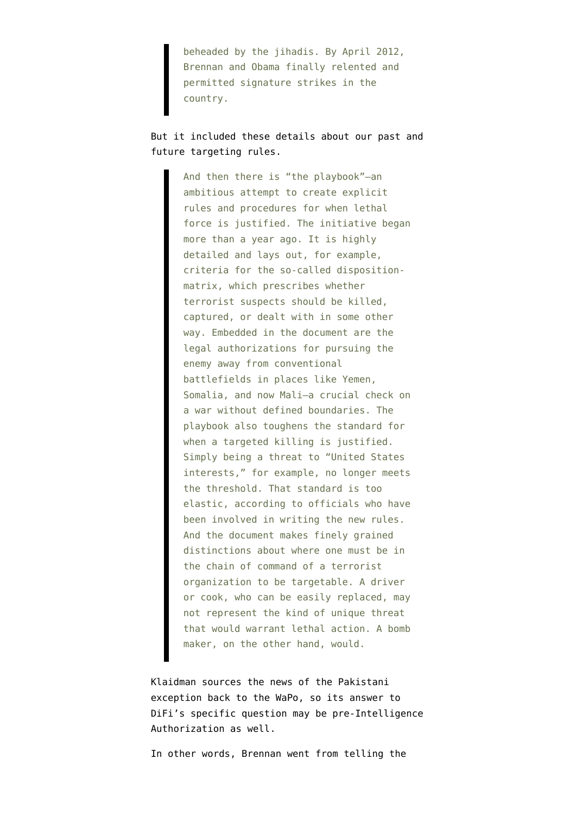beheaded by the jihadis. By April 2012, Brennan and Obama finally relented and permitted signature strikes in the country.

## But it included these details about our past and future targeting rules.

And then there is "the playbook"—an ambitious attempt to create explicit rules and procedures for when lethal force is justified. The initiative began more than a year ago. It is highly detailed and lays out, for example, criteria for the so-called dispositionmatrix, which prescribes whether terrorist suspects should be killed, captured, or dealt with in some other way. Embedded in the document are the legal authorizations for pursuing the enemy away from conventional battlefields in places like Yemen, Somalia, and now Mali—a crucial check on a war without defined boundaries. The playbook also toughens the standard for when a targeted killing is justified. Simply being a threat to "United States interests," for example, no longer meets the threshold. That standard is too elastic, according to officials who have been involved in writing the new rules. And the document makes finely grained distinctions about where one must be in the chain of command of a terrorist organization to be targetable. A driver or cook, who can be easily replaced, may not represent the kind of unique threat that would warrant lethal action. A bomb maker, on the other hand, would.

Klaidman sources the news of the Pakistani exception back to the WaPo, so its answer to DiFi's specific question may be pre-Intelligence Authorization as well.

In other words, Brennan went from telling the